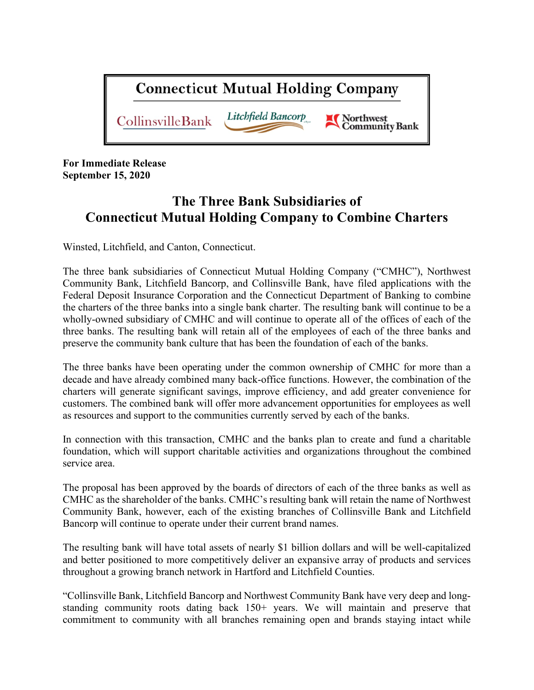

**For Immediate Release September 15, 2020**

# **The Three Bank Subsidiaries of Connecticut Mutual Holding Company to Combine Charters**

Winsted, Litchfield, and Canton, Connecticut.

The three bank subsidiaries of Connecticut Mutual Holding Company ("CMHC"), Northwest Community Bank, Litchfield Bancorp, and Collinsville Bank, have filed applications with the Federal Deposit Insurance Corporation and the Connecticut Department of Banking to combine the charters of the three banks into a single bank charter. The resulting bank will continue to be a wholly-owned subsidiary of CMHC and will continue to operate all of the offices of each of the three banks. The resulting bank will retain all of the employees of each of the three banks and preserve the community bank culture that has been the foundation of each of the banks.

The three banks have been operating under the common ownership of CMHC for more than a decade and have already combined many back-office functions. However, the combination of the charters will generate significant savings, improve efficiency, and add greater convenience for customers. The combined bank will offer more advancement opportunities for employees as well as resources and support to the communities currently served by each of the banks.

In connection with this transaction, CMHC and the banks plan to create and fund a charitable foundation, which will support charitable activities and organizations throughout the combined service area.

The proposal has been approved by the boards of directors of each of the three banks as well as CMHC as the shareholder of the banks. CMHC's resulting bank will retain the name of Northwest Community Bank, however, each of the existing branches of Collinsville Bank and Litchfield Bancorp will continue to operate under their current brand names.

The resulting bank will have total assets of nearly \$1 billion dollars and will be well-capitalized and better positioned to more competitively deliver an expansive array of products and services throughout a growing branch network in Hartford and Litchfield Counties.

"Collinsville Bank, Litchfield Bancorp and Northwest Community Bank have very deep and longstanding community roots dating back 150+ years. We will maintain and preserve that commitment to community with all branches remaining open and brands staying intact while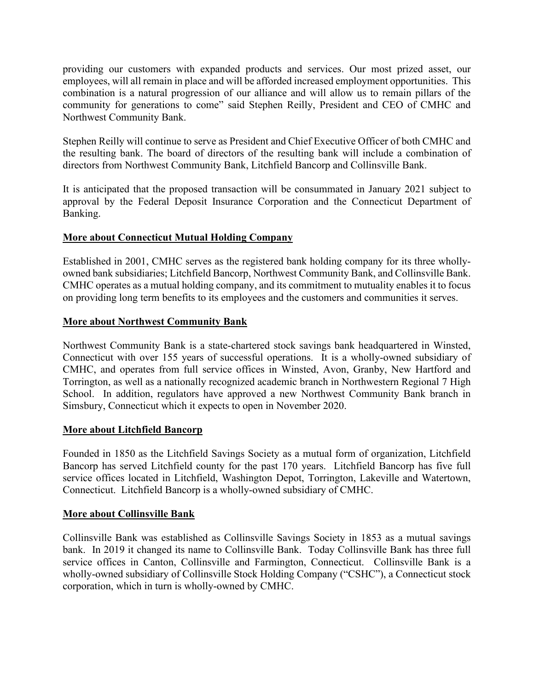providing our customers with expanded products and services. Our most prized asset, our employees, will all remain in place and will be afforded increased employment opportunities. This combination is a natural progression of our alliance and will allow us to remain pillars of the community for generations to come" said Stephen Reilly, President and CEO of CMHC and Northwest Community Bank.

Stephen Reilly will continue to serve as President and Chief Executive Officer of both CMHC and the resulting bank. The board of directors of the resulting bank will include a combination of directors from Northwest Community Bank, Litchfield Bancorp and Collinsville Bank.

It is anticipated that the proposed transaction will be consummated in January 2021 subject to approval by the Federal Deposit Insurance Corporation and the Connecticut Department of Banking.

## **More about Connecticut Mutual Holding Company**

Established in 2001, CMHC serves as the registered bank holding company for its three whollyowned bank subsidiaries; Litchfield Bancorp, Northwest Community Bank, and Collinsville Bank. CMHC operates as a mutual holding company, and its commitment to mutuality enables it to focus on providing long term benefits to its employees and the customers and communities it serves.

## **More about Northwest Community Bank**

Northwest Community Bank is a state-chartered stock savings bank headquartered in Winsted, Connecticut with over 155 years of successful operations. It is a wholly-owned subsidiary of CMHC, and operates from full service offices in Winsted, Avon, Granby, New Hartford and Torrington, as well as a nationally recognized academic branch in Northwestern Regional 7 High School. In addition, regulators have approved a new Northwest Community Bank branch in Simsbury, Connecticut which it expects to open in November 2020.

## **More about Litchfield Bancorp**

Founded in 1850 as the Litchfield Savings Society as a mutual form of organization, Litchfield Bancorp has served Litchfield county for the past 170 years. Litchfield Bancorp has five full service offices located in Litchfield, Washington Depot, Torrington, Lakeville and Watertown, Connecticut. Litchfield Bancorp is a wholly-owned subsidiary of CMHC.

## **More about Collinsville Bank**

Collinsville Bank was established as Collinsville Savings Society in 1853 as a mutual savings bank. In 2019 it changed its name to Collinsville Bank. Today Collinsville Bank has three full service offices in Canton, Collinsville and Farmington, Connecticut. Collinsville Bank is a wholly-owned subsidiary of Collinsville Stock Holding Company ("CSHC"), a Connecticut stock corporation, which in turn is wholly-owned by CMHC.